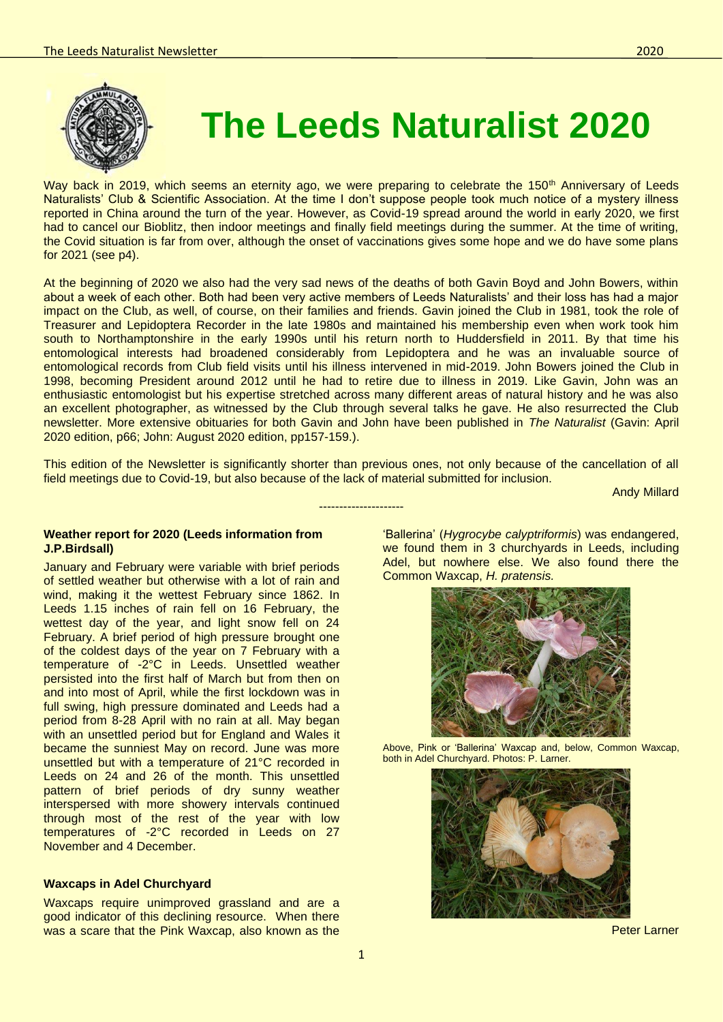

# **The Leeds Naturalist 2020**

Way back in 2019, which seems an eternity ago, we were preparing to celebrate the 150<sup>th</sup> Anniversary of Leeds Naturalists' Club & Scientific Association. At the time I don't suppose people took much notice of a mystery illness reported in China around the turn of the year. However, as Covid-19 spread around the world in early 2020, we first had to cancel our Bioblitz, then indoor meetings and finally field meetings during the summer. At the time of writing, the Covid situation is far from over, although the onset of vaccinations gives some hope and we do have some plans for 2021 (see p4).

At the beginning of 2020 we also had the very sad news of the deaths of both Gavin Boyd and John Bowers, within about a week of each other. Both had been very active members of Leeds Naturalists' and their loss has had a major impact on the Club, as well, of course, on their families and friends. Gavin joined the Club in 1981, took the role of Treasurer and Lepidoptera Recorder in the late 1980s and maintained his membership even when work took him south to Northamptonshire in the early 1990s until his return north to Huddersfield in 2011. By that time his entomological interests had broadened considerably from Lepidoptera and he was an invaluable source of entomological records from Club field visits until his illness intervened in mid-2019. John Bowers joined the Club in 1998, becoming President around 2012 until he had to retire due to illness in 2019. Like Gavin, John was an enthusiastic entomologist but his expertise stretched across many different areas of natural history and he was also an excellent photographer, as witnessed by the Club through several talks he gave. He also resurrected the Club newsletter. More extensive obituaries for both Gavin and John have been published in *The Naturalist* (Gavin: April 2020 edition, p66; John: August 2020 edition, pp157-159.).

This edition of the Newsletter is significantly shorter than previous ones, not only because of the cancellation of all field meetings due to Covid-19, but also because of the lack of material submitted for inclusion.

---------------------

Andy Millard

#### **Weather report for 2020 (Leeds information from J.P.Birdsall)**

January and February were variable with brief periods of settled weather but otherwise with a lot of rain and wind, making it the wettest February since 1862. In Leeds 1.15 inches of rain fell on 16 February, the wettest day of the year, and light snow fell on 24 February. A brief period of high pressure brought one of the coldest days of the year on 7 February with a temperature of -2°C in Leeds. Unsettled weather persisted into the first half of March but from then on and into most of April, while the first lockdown was in full swing, high pressure dominated and Leeds had a period from 8-28 April with no rain at all. May began with an unsettled period but for England and Wales it became the sunniest May on record. June was more unsettled but with a temperature of 21°C recorded in Leeds on 24 and 26 of the month. This unsettled pattern of brief periods of dry sunny weather interspersed with more showery intervals continued through most of the rest of the year with low temperatures of -2°C recorded in Leeds on 27 November and 4 December.

### **Waxcaps in Adel Churchyard**

Waxcaps require unimproved grassland and are a good indicator of this declining resource. When there was a scare that the Pink Waxcap, also known as the

'Ballerina' (*Hygrocybe calyptriformis*) was endangered, we found them in 3 churchyards in Leeds, including Adel, but nowhere else. We also found there the Common Waxcap, *H. pratensis.*



Above, Pink or 'Ballerina' Waxcap and, below, Common Waxcap, both in Adel Churchyard. Photos: P. Larner.



Peter Larner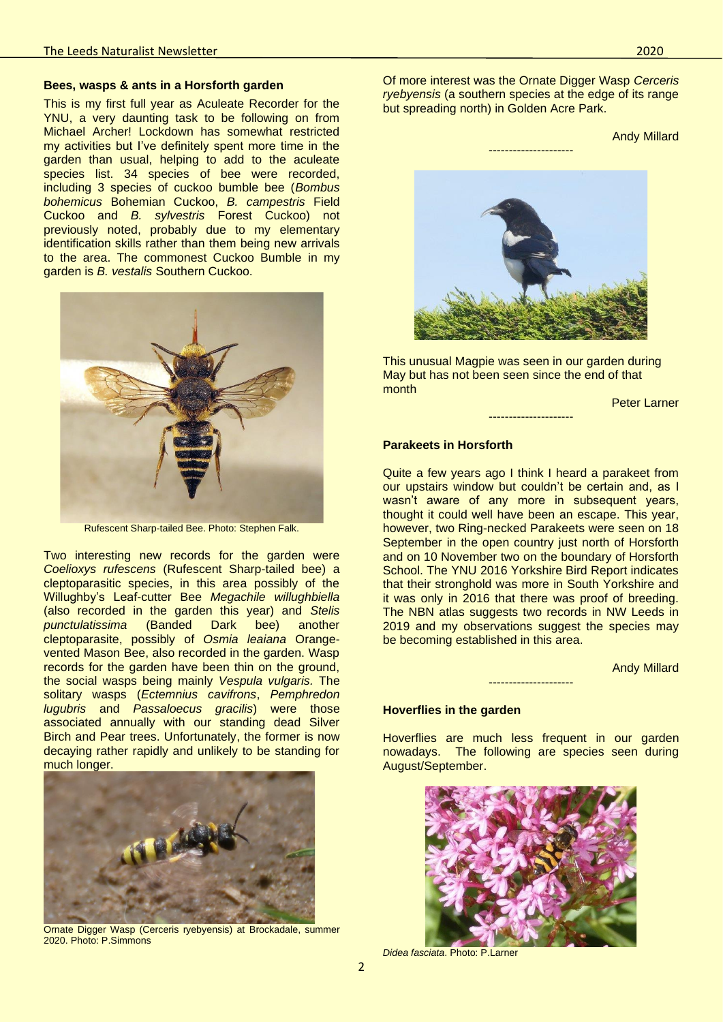#### **Bees, wasps & ants in a Horsforth garden**

This is my first full year as Aculeate Recorder for the YNU, a very daunting task to be following on from Michael Archer! Lockdown has somewhat restricted my activities but I've definitely spent more time in the garden than usual, helping to add to the aculeate species list. 34 species of bee were recorded, including 3 species of cuckoo bumble bee (*Bombus bohemicus* Bohemian Cuckoo, *B. campestris* Field Cuckoo and *B. sylvestris* Forest Cuckoo) not previously noted, probably due to my elementary identification skills rather than them being new arrivals to the area. The commonest Cuckoo Bumble in my garden is *B. vestalis* Southern Cuckoo.



Rufescent Sharp-tailed Bee. Photo: Stephen Falk.

Two interesting new records for the garden were *Coelioxys rufescens* (Rufescent Sharp-tailed bee) a cleptoparasitic species, in this area possibly of the Willughby's Leaf-cutter Bee *Megachile willughbiella* (also recorded in the garden this year) and *Stelis punctulatissima* (Banded Dark bee) another cleptoparasite, possibly of *Osmia leaiana* Orangevented Mason Bee, also recorded in the garden. Wasp records for the garden have been thin on the ground, the social wasps being mainly *Vespula vulgaris.* The solitary wasps (*Ectemnius cavifrons*, *Pemphredon lugubris* and *Passaloecus gracilis*) were those associated annually with our standing dead Silver Birch and Pear trees. Unfortunately, the former is now decaying rather rapidly and unlikely to be standing for much longer.



Ornate Digger Wasp (Cerceris ryebyensis) at Brockadale, summer 2020. Photo: P.Simmons

Of more interest was the Ornate Digger Wasp *Cerceris ryebyensis* (a southern species at the edge of its range but spreading north) in Golden Acre Park.

Andy Millard



This unusual Magpie was seen in our garden during May but has not been seen since the end of that month

---------------------

Peter Larner

# **Parakeets in Horsforth**

Quite a few years ago I think I heard a parakeet from our upstairs window but couldn't be certain and, as I wasn't aware of any more in subsequent years, thought it could well have been an escape. This year, however, two Ring-necked Parakeets were seen on 18 September in the open country just north of Horsforth and on 10 November two on the boundary of Horsforth School. The YNU 2016 Yorkshire Bird Report indicates that their stronghold was more in South Yorkshire and it was only in 2016 that there was proof of breeding. The NBN atlas suggests two records in NW Leeds in 2019 and my observations suggest the species may be becoming established in this area.

Andy Millard

## **Hoverflies in the garden**

Hoverflies are much less frequent in our garden nowadays. The following are species seen during August/September.

---------------------



*Didea fasciata*. Photo: P.Larner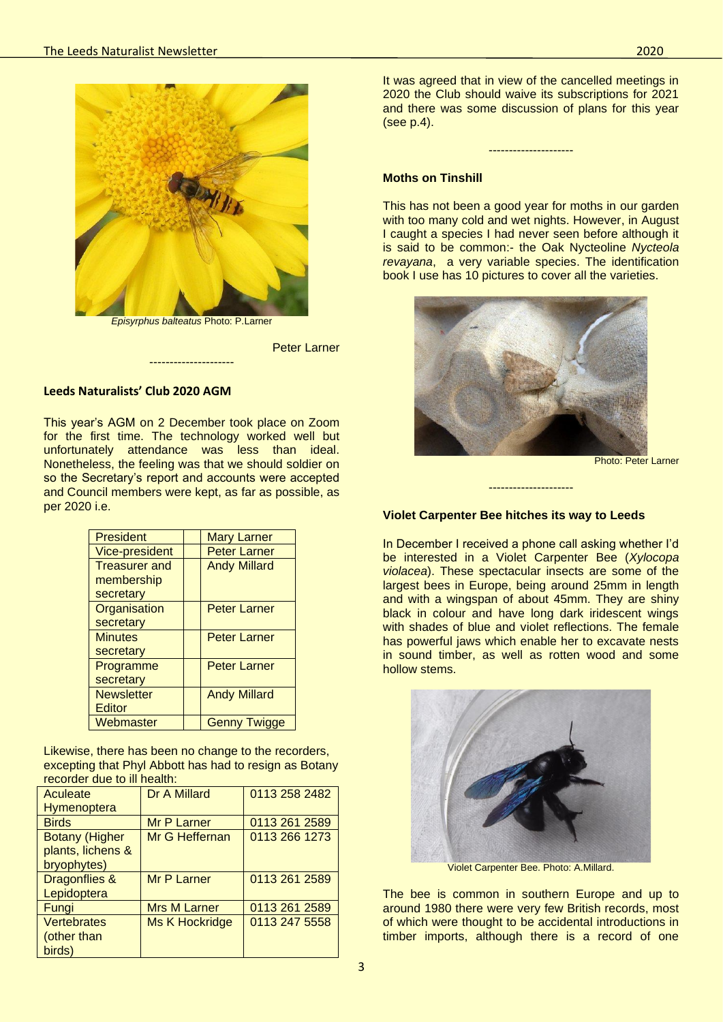

*Episyrphus balteatus* Photo: P.Larner

---------------------

Peter Larner

## **Leeds Naturalists' Club 2020 AGM**

This year's AGM on 2 December took place on Zoom for the first time. The technology worked well but unfortunately attendance was less than ideal. Nonetheless, the feeling was that we should soldier on so the Secretary's report and accounts were accepted and Council members were kept, as far as possible, as per 2020 i.e.

| <b>President</b>     | <b>Mary Larner</b>  |
|----------------------|---------------------|
| Vice-president       | <b>Peter Larner</b> |
| <b>Treasurer and</b> | <b>Andy Millard</b> |
| membership           |                     |
| secretary            |                     |
| Organisation         | <b>Peter Larner</b> |
| secretary            |                     |
| <b>Minutes</b>       | <b>Peter Larner</b> |
| secretary            |                     |
| Programme            | <b>Peter Larner</b> |
| secretary            |                     |
| <b>Newsletter</b>    | <b>Andy Millard</b> |
| Editor               |                     |
| Webmaster            | <b>Genny Twigge</b> |

Likewise, there has been no change to the recorders, excepting that Phyl Abbott has had to resign as Botany recorder due to ill health:

| Aculeate                 | Dr A Millard          | 0113 258 2482 |
|--------------------------|-----------------------|---------------|
| <b>Hymenoptera</b>       |                       |               |
| <b>Birds</b>             | Mr P Larner           | 0113 261 2589 |
| <b>Botany (Higher</b>    | Mr G Heffernan        | 0113 266 1273 |
| plants, lichens &        |                       |               |
| bryophytes)              |                       |               |
| <b>Dragonflies &amp;</b> | Mr P Larner           | 0113 261 2589 |
| Lepidoptera              |                       |               |
| Fungi                    | <b>Mrs M Larner</b>   | 0113 261 2589 |
| <b>Vertebrates</b>       | <b>Ms K Hockridge</b> | 0113 247 5558 |
| (other than              |                       |               |
| birds)                   |                       |               |

It was agreed that in view of the cancelled meetings in 2020 the Club should waive its subscriptions for 2021 and there was some discussion of plans for this year (see p.4).

---------------------

#### **Moths on Tinshill**

This has not been a good year for moths in our garden with too many cold and wet nights. However, in August I caught a species I had never seen before although it is said to be common:- the Oak Nycteoline *Nycteola revayana*, a very variable species. The identification book I use has 10 pictures to cover all the varieties.



Photo: Peter Larner

# ---------------------

#### **Violet Carpenter Bee hitches its way to Leeds**

In December I received a phone call asking whether I'd be interested in a Violet Carpenter Bee (*Xylocopa violacea*). These spectacular insects are some of the largest bees in Europe, being around 25mm in length and with a wingspan of about 45mm. They are shiny black in colour and have long dark iridescent wings with shades of blue and violet reflections. The female has powerful jaws which enable her to excavate nests in sound timber, as well as rotten wood and some hollow stems.



Violet Carpenter Bee. Photo: A.Millard.

The bee is common in southern Europe and up to around 1980 there were very few British records, most of which were thought to be accidental introductions in timber imports, although there is a record of one